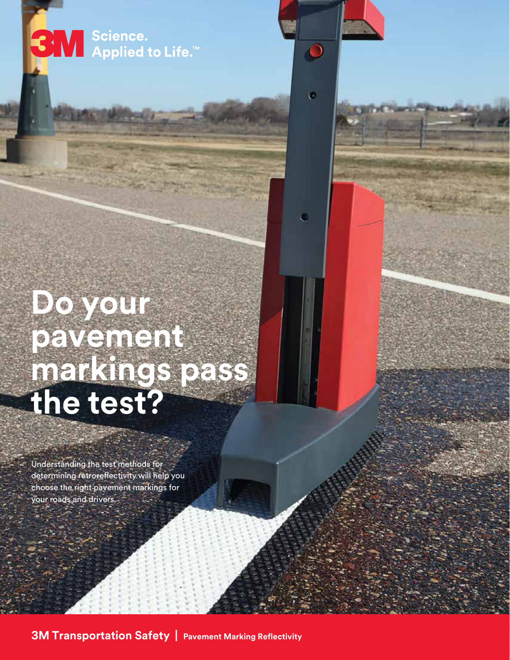Servel Science.<br>Servel Applied to Life.™

 $\bullet$ 

 $\bullet$ 

o

# **Do your pavement markings pass the test?**

Understanding the test methods for determining retroreflectivity will help you choose the right pavement markings for your roads and drivers.

**3M Transportation Safety | Pavement Marking Reflectivity**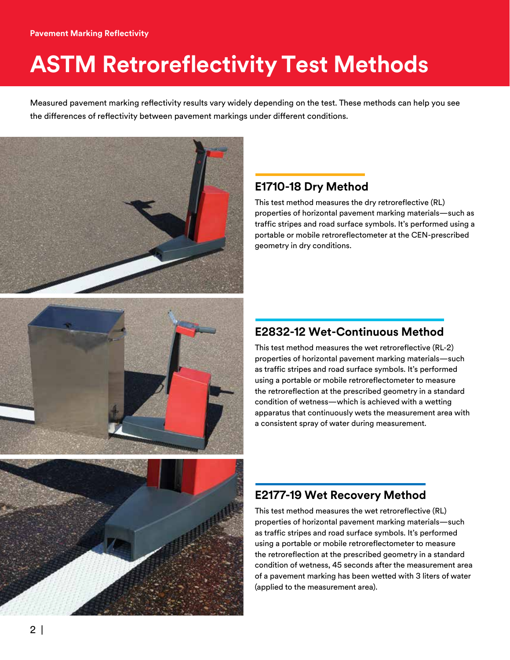## **ASTM Retroreflectivity Test Methods**

Measured pavement marking reflectivity results vary widely depending on the test. These methods can help you see the differences of reflectivity between pavement markings under different conditions.







#### **E1710-18 Dry Method**

This test method measures the dry retroreflective (RL) properties of horizontal pavement marking materials—such as traffic stripes and road surface symbols. It's performed using a portable or mobile retroreflectometer at the CEN-prescribed geometry in dry conditions.

#### **E2832-12 Wet-Continuous Method**

This test method measures the wet retroreflective (RL-2) properties of horizontal pavement marking materials—such as traffic stripes and road surface symbols. It's performed using a portable or mobile retroreflectometer to measure the retroreflection at the prescribed geometry in a standard condition of wetness—which is achieved with a wetting apparatus that continuously wets the measurement area with a consistent spray of water during measurement.

#### **E2177-19 Wet Recovery Method**

This test method measures the wet retroreflective (RL) properties of horizontal pavement marking materials—such as traffic stripes and road surface symbols. It's performed using a portable or mobile retroreflectometer to measure the retroreflection at the prescribed geometry in a standard condition of wetness, 45 seconds after the measurement area of a pavement marking has been wetted with 3 liters of water (applied to the measurement area).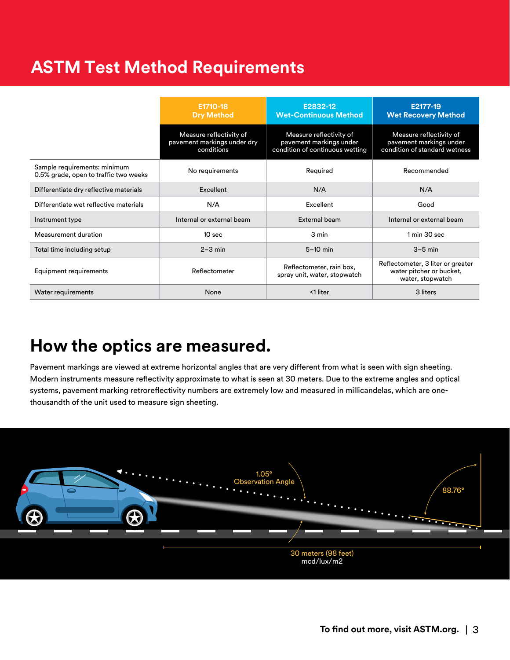## **ASTM Test Method Requirements**

|                                                                       | E1710-18<br><b>Dry Method</b>                                        | E2832-12<br><b>Wet-Continuous Method</b>                                              | E2177-19<br><b>Wet Recovery Method</b>                                              |
|-----------------------------------------------------------------------|----------------------------------------------------------------------|---------------------------------------------------------------------------------------|-------------------------------------------------------------------------------------|
|                                                                       | Measure reflectivity of<br>pavement markings under dry<br>conditions | Measure reflectivity of<br>pavement markings under<br>condition of continuous wetting | Measure reflectivity of<br>pavement markings under<br>condition of standard wetness |
| Sample requirements: minimum<br>0.5% grade, open to traffic two weeks | No requirements                                                      | Required                                                                              | Recommended                                                                         |
| Differentiate dry reflective materials                                | Excellent                                                            | N/A                                                                                   | N/A                                                                                 |
| Differentiate wet reflective materials                                | N/A                                                                  | Excellent                                                                             | Good                                                                                |
| Instrument type                                                       | Internal or external beam                                            | External beam                                                                         | Internal or external beam                                                           |
| Measurement duration                                                  | 10 <sub>sec</sub>                                                    | 3 min                                                                                 | 1 min 30 sec                                                                        |
| Total time including setup                                            | $2-3$ min                                                            | $5-10$ min                                                                            | $3-5$ min                                                                           |
| Equipment requirements                                                | Reflectometer                                                        | Reflectometer, rain box,<br>spray unit, water, stopwatch                              | Reflectometer, 3 liter or greater<br>water pitcher or bucket,<br>water, stopwatch   |
| Water requirements                                                    | None                                                                 | <1 liter                                                                              | 3 liters                                                                            |

### **How the optics are measured.**

Pavement markings are viewed at extreme horizontal angles that are very different from what is seen with sign sheeting. Modern instruments measure reflectivity approximate to what is seen at 30 meters. Due to the extreme angles and optical systems, pavement marking retroreflectivity numbers are extremely low and measured in millicandelas, which are onethousandth of the unit used to measure sign sheeting.